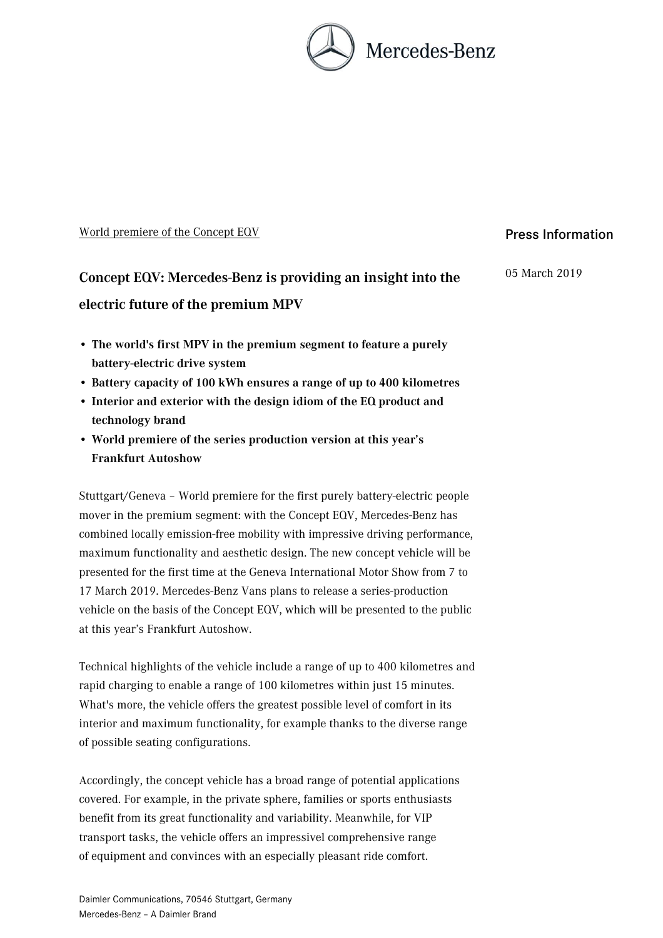

#### World premiere of the Concept EQV

# **Concept EQV: Mercedes-Benz is providing an insight into the electric future of the premium MPV**

- **The world's first MPV in the premium segment to feature a purely battery-electric drive system**
- **Battery capacity of 100 kWh ensures a range of up to 400 kilometres**
- **Interior and exterior with the design idiom of the EQ product and technology brand**
- **World premiere of the series production version at this year's Frankfurt Autoshow**

Stuttgart/Geneva – World premiere for the first purely battery-electric people mover in the premium segment: with the Concept EQV, Mercedes-Benz has combined locally emission-free mobility with impressive driving performance, maximum functionality and aesthetic design. The new concept vehicle will be presented for the first time at the Geneva International Motor Show from 7 to 17 March 2019. Mercedes-Benz Vans plans to release a series-production vehicle on the basis of the Concept EQV, which will be presented to the public at this year's Frankfurt Autoshow.

Technical highlights of the vehicle include a range of up to 400 kilometres and rapid charging to enable a range of 100 kilometres within just 15 minutes. What's more, the vehicle offers the greatest possible level of comfort in its interior and maximum functionality, for example thanks to the diverse range of possible seating configurations.

Accordingly, the concept vehicle has a broad range of potential applications covered. For example, in the private sphere, families or sports enthusiasts benefit from its great functionality and variability. Meanwhile, for VIP transport tasks, the vehicle offers an impressivel comprehensive range of equipment and convinces with an especially pleasant ride comfort.

## Press Information

05 March 2019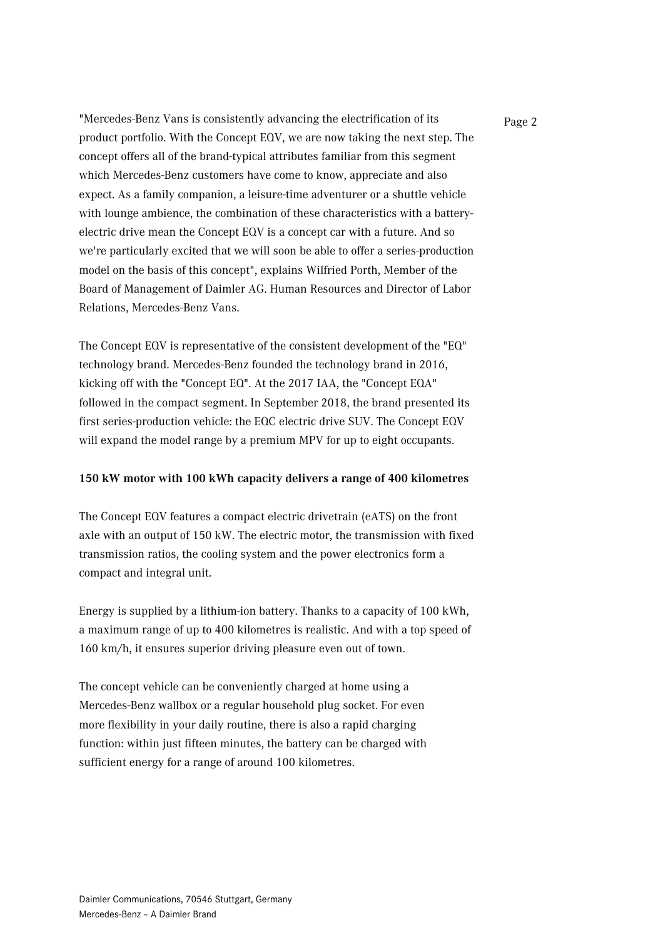"Mercedes-Benz Vans is consistently advancing the electrification of its Page 2 product portfolio. With the Concept EQV, we are now taking the next step. The concept offers all of the brand-typical attributes familiar from this segment which Mercedes-Benz customers have come to know, appreciate and also expect. As a family companion, a leisure-time adventurer or a shuttle vehicle with lounge ambience, the combination of these characteristics with a batteryelectric drive mean the Concept EQV is a concept car with a future. And so we're particularly excited that we will soon be able to offer a series-production model on the basis of this concept", explains Wilfried Porth, Member of the Board of Management of Daimler AG. Human Resources and Director of Labor Relations, Mercedes-Benz Vans.

The Concept EQV is representative of the consistent development of the "EQ" technology brand. Mercedes-Benz founded the technology brand in 2016, kicking off with the "Concept EQ". At the 2017 IAA, the "Concept EQA" followed in the compact segment. In September 2018, the brand presented its first series-production vehicle: the EQC electric drive SUV. The Concept EQV will expand the model range by a premium MPV for up to eight occupants.

#### **150 kW motor with 100 kWh capacity delivers a range of 400 kilometres**

The Concept EQV features a compact electric drivetrain (eATS) on the front axle with an output of 150 kW. The electric motor, the transmission with fixed transmission ratios, the cooling system and the power electronics form a compact and integral unit.

Energy is supplied by a lithium-ion battery. Thanks to a capacity of 100 kWh, a maximum range of up to 400 kilometres is realistic. And with a top speed of 160 km/h, it ensures superior driving pleasure even out of town.

The concept vehicle can be conveniently charged at home using a Mercedes-Benz wallbox or a regular household plug socket. For even more flexibility in your daily routine, there is also a rapid charging function: within just fifteen minutes, the battery can be charged with sufficient energy for a range of around 100 kilometres.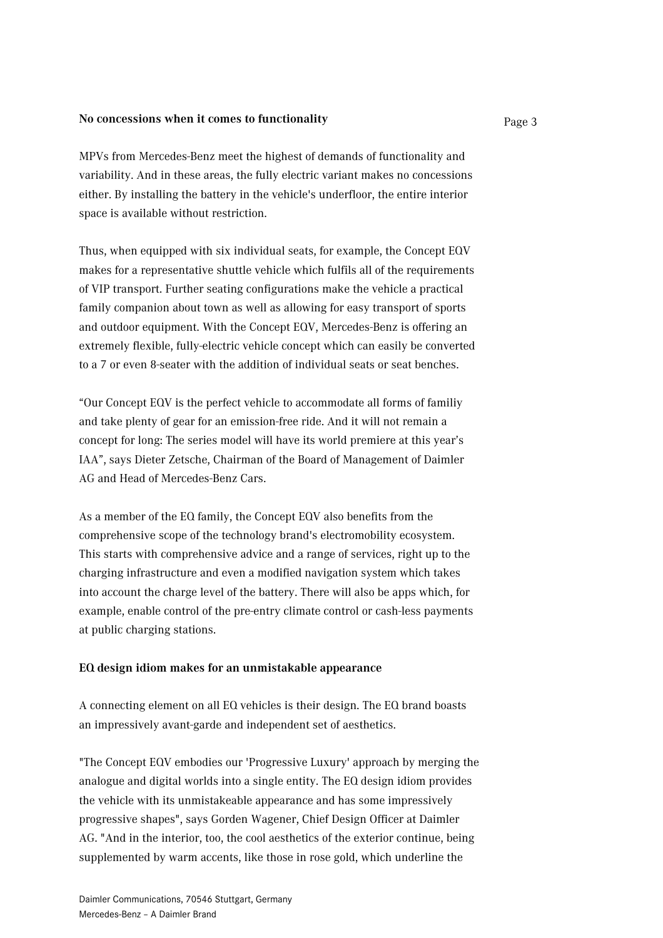### **No concessions when it comes to functionality** Page 3

MPVs from Mercedes-Benz meet the highest of demands of functionality and variability. And in these areas, the fully electric variant makes no concessions either. By installing the battery in the vehicle's underfloor, the entire interior space is available without restriction.

Thus, when equipped with six individual seats, for example, the Concept EQV makes for a representative shuttle vehicle which fulfils all of the requirements of VIP transport. Further seating configurations make the vehicle a practical family companion about town as well as allowing for easy transport of sports and outdoor equipment. With the Concept EQV, Mercedes-Benz is offering an extremely flexible, fully-electric vehicle concept which can easily be converted to a 7 or even 8-seater with the addition of individual seats or seat benches.

"Our Concept EQV is the perfect vehicle to accommodate all forms of familiy and take plenty of gear for an emission-free ride. And it will not remain a concept for long: The series model will have its world premiere at this year's IAA", says Dieter Zetsche, Chairman of the Board of Management of Daimler AG and Head of Mercedes-Benz Cars.

As a member of the EQ family, the Concept EQV also benefits from the comprehensive scope of the technology brand's electromobility ecosystem. This starts with comprehensive advice and a range of services, right up to the charging infrastructure and even a modified navigation system which takes into account the charge level of the battery. There will also be apps which, for example, enable control of the pre-entry climate control or cash-less payments at public charging stations.

#### **EQ design idiom makes for an unmistakable appearance**

A connecting element on all EQ vehicles is their design. The EQ brand boasts an impressively avant-garde and independent set of aesthetics.

"The Concept EQV embodies our 'Progressive Luxury' approach by merging the analogue and digital worlds into a single entity. The EQ design idiom provides the vehicle with its unmistakeable appearance and has some impressively progressive shapes", says Gorden Wagener, Chief Design Officer at Daimler AG. "And in the interior, too, the cool aesthetics of the exterior continue, being supplemented by warm accents, like those in rose gold, which underline the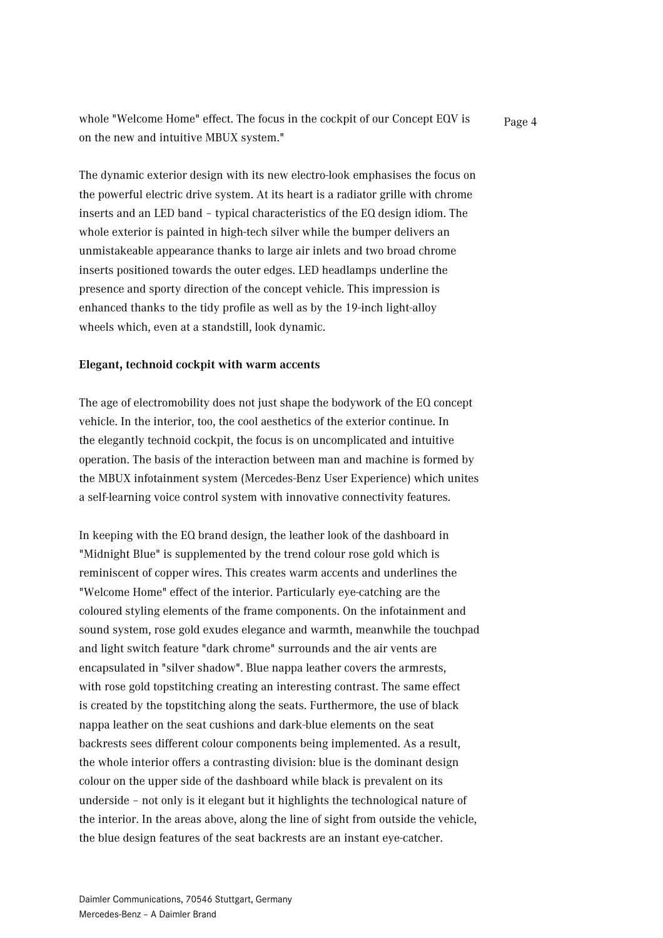whole "Welcome Home" effect. The focus in the cockpit of our Concept EQV is Page 4 on the new and intuitive MBUX system."

The dynamic exterior design with its new electro-look emphasises the focus on the powerful electric drive system. At its heart is a radiator grille with chrome inserts and an LED band – typical characteristics of the EQ design idiom. The whole exterior is painted in high-tech silver while the bumper delivers an unmistakeable appearance thanks to large air inlets and two broad chrome inserts positioned towards the outer edges. LED headlamps underline the presence and sporty direction of the concept vehicle. This impression is enhanced thanks to the tidy profile as well as by the 19-inch light-alloy wheels which, even at a standstill, look dynamic.

#### **Elegant, technoid cockpit with warm accents**

The age of electromobility does not just shape the bodywork of the EQ concept vehicle. In the interior, too, the cool aesthetics of the exterior continue. In the elegantly technoid cockpit, the focus is on uncomplicated and intuitive operation. The basis of the interaction between man and machine is formed by the MBUX infotainment system (Mercedes-Benz User Experience) which unites a self-learning voice control system with innovative connectivity features.

In keeping with the EQ brand design, the leather look of the dashboard in "Midnight Blue" is supplemented by the trend colour rose gold which is reminiscent of copper wires. This creates warm accents and underlines the "Welcome Home" effect of the interior. Particularly eye-catching are the coloured styling elements of the frame components. On the infotainment and sound system, rose gold exudes elegance and warmth, meanwhile the touchpad and light switch feature "dark chrome" surrounds and the air vents are encapsulated in "silver shadow". Blue nappa leather covers the armrests, with rose gold topstitching creating an interesting contrast. The same effect is created by the topstitching along the seats. Furthermore, the use of black nappa leather on the seat cushions and dark-blue elements on the seat backrests sees different colour components being implemented. As a result, the whole interior offers a contrasting division: blue is the dominant design colour on the upper side of the dashboard while black is prevalent on its underside – not only is it elegant but it highlights the technological nature of the interior. In the areas above, along the line of sight from outside the vehicle, the blue design features of the seat backrests are an instant eve-catcher.